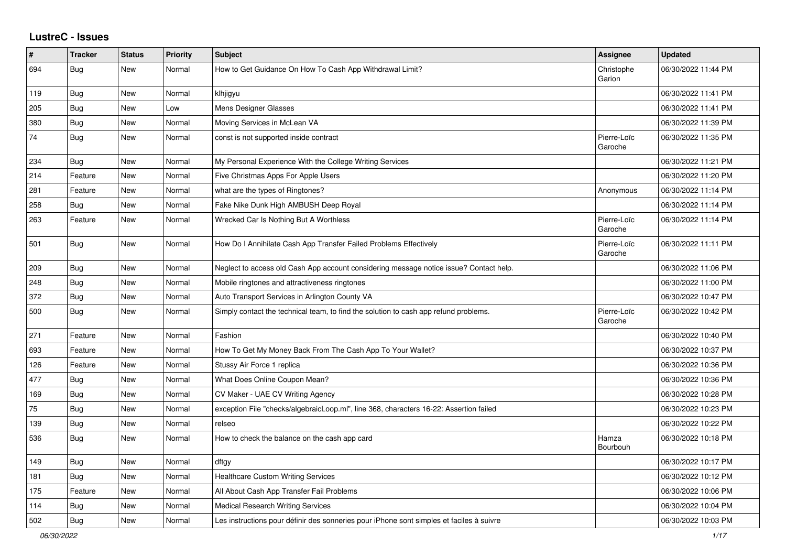## **LustreC - Issues**

| #   | <b>Tracker</b> | <b>Status</b> | <b>Priority</b> | <b>Subject</b>                                                                           | <b>Assignee</b>        | <b>Updated</b>      |
|-----|----------------|---------------|-----------------|------------------------------------------------------------------------------------------|------------------------|---------------------|
| 694 | Bug            | New           | Normal          | How to Get Guidance On How To Cash App Withdrawal Limit?                                 | Christophe<br>Garion   | 06/30/2022 11:44 PM |
| 119 | Bug            | <b>New</b>    | Normal          | klhjigyu                                                                                 |                        | 06/30/2022 11:41 PM |
| 205 | Bug            | New           | Low             | Mens Designer Glasses                                                                    |                        | 06/30/2022 11:41 PM |
| 380 | Bug            | New           | Normal          | Moving Services in McLean VA                                                             |                        | 06/30/2022 11:39 PM |
| 74  | <b>Bug</b>     | New           | Normal          | const is not supported inside contract                                                   | Pierre-Loïc<br>Garoche | 06/30/2022 11:35 PM |
| 234 | Bug            | <b>New</b>    | Normal          | My Personal Experience With the College Writing Services                                 |                        | 06/30/2022 11:21 PM |
| 214 | Feature        | New           | Normal          | Five Christmas Apps For Apple Users                                                      |                        | 06/30/2022 11:20 PM |
| 281 | Feature        | New           | Normal          | what are the types of Ringtones?                                                         | Anonymous              | 06/30/2022 11:14 PM |
| 258 | <b>Bug</b>     | New           | Normal          | Fake Nike Dunk High AMBUSH Deep Royal                                                    |                        | 06/30/2022 11:14 PM |
| 263 | Feature        | <b>New</b>    | Normal          | Wrecked Car Is Nothing But A Worthless                                                   | Pierre-Loïc<br>Garoche | 06/30/2022 11:14 PM |
| 501 | Bug            | New           | Normal          | How Do I Annihilate Cash App Transfer Failed Problems Effectively                        | Pierre-Loïc<br>Garoche | 06/30/2022 11:11 PM |
| 209 | Bug            | New           | Normal          | Neglect to access old Cash App account considering message notice issue? Contact help.   |                        | 06/30/2022 11:06 PM |
| 248 | <b>Bug</b>     | <b>New</b>    | Normal          | Mobile ringtones and attractiveness ringtones                                            |                        | 06/30/2022 11:00 PM |
| 372 | <b>Bug</b>     | <b>New</b>    | Normal          | Auto Transport Services in Arlington County VA                                           |                        | 06/30/2022 10:47 PM |
| 500 | <b>Bug</b>     | New           | Normal          | Simply contact the technical team, to find the solution to cash app refund problems.     | Pierre-Loïc<br>Garoche | 06/30/2022 10:42 PM |
| 271 | Feature        | New           | Normal          | Fashion                                                                                  |                        | 06/30/2022 10:40 PM |
| 693 | Feature        | New           | Normal          | How To Get My Money Back From The Cash App To Your Wallet?                               |                        | 06/30/2022 10:37 PM |
| 126 | Feature        | New           | Normal          | Stussy Air Force 1 replica                                                               |                        | 06/30/2022 10:36 PM |
| 477 | <b>Bug</b>     | <b>New</b>    | Normal          | What Does Online Coupon Mean?                                                            |                        | 06/30/2022 10:36 PM |
| 169 | <b>Bug</b>     | New           | Normal          | CV Maker - UAE CV Writing Agency                                                         |                        | 06/30/2022 10:28 PM |
| 75  | Bug            | New           | Normal          | exception File "checks/algebraicLoop.ml", line 368, characters 16-22: Assertion failed   |                        | 06/30/2022 10:23 PM |
| 139 | <b>Bug</b>     | <b>New</b>    | Normal          | relseo                                                                                   |                        | 06/30/2022 10:22 PM |
| 536 | Bug            | New           | Normal          | How to check the balance on the cash app card                                            | Hamza<br>Bourbouh      | 06/30/2022 10:18 PM |
| 149 | <b>Bug</b>     | <b>New</b>    | Normal          | dftgy                                                                                    |                        | 06/30/2022 10:17 PM |
| 181 | Bug            | New           | Normal          | <b>Healthcare Custom Writing Services</b>                                                |                        | 06/30/2022 10:12 PM |
| 175 | Feature        | New           | Normal          | All About Cash App Transfer Fail Problems                                                |                        | 06/30/2022 10:06 PM |
| 114 | <b>Bug</b>     | New           | Normal          | <b>Medical Research Writing Services</b>                                                 |                        | 06/30/2022 10:04 PM |
| 502 | Bug            | New           | Normal          | Les instructions pour définir des sonneries pour iPhone sont simples et faciles à suivre |                        | 06/30/2022 10:03 PM |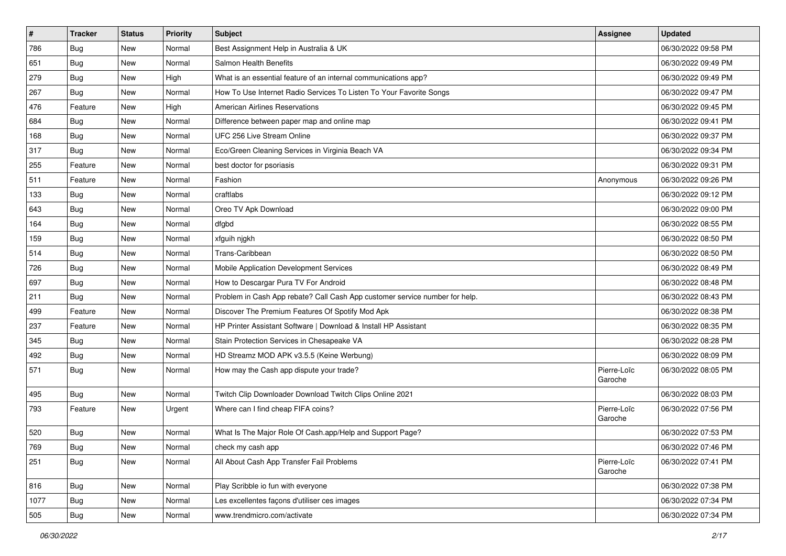| $\vert$ # | <b>Tracker</b> | <b>Status</b> | Priority | <b>Subject</b>                                                              | <b>Assignee</b>        | <b>Updated</b>      |
|-----------|----------------|---------------|----------|-----------------------------------------------------------------------------|------------------------|---------------------|
| 786       | <b>Bug</b>     | New           | Normal   | Best Assignment Help in Australia & UK                                      |                        | 06/30/2022 09:58 PM |
| 651       | <b>Bug</b>     | New           | Normal   | Salmon Health Benefits                                                      |                        | 06/30/2022 09:49 PM |
| 279       | Bug            | New           | High     | What is an essential feature of an internal communications app?             |                        | 06/30/2022 09:49 PM |
| 267       | <b>Bug</b>     | New           | Normal   | How To Use Internet Radio Services To Listen To Your Favorite Songs         |                        | 06/30/2022 09:47 PM |
| 476       | Feature        | New           | High     | <b>American Airlines Reservations</b>                                       |                        | 06/30/2022 09:45 PM |
| 684       | <b>Bug</b>     | New           | Normal   | Difference between paper map and online map                                 |                        | 06/30/2022 09:41 PM |
| 168       | Bug            | New           | Normal   | UFC 256 Live Stream Online                                                  |                        | 06/30/2022 09:37 PM |
| 317       | <b>Bug</b>     | New           | Normal   | Eco/Green Cleaning Services in Virginia Beach VA                            |                        | 06/30/2022 09:34 PM |
| 255       | Feature        | New           | Normal   | best doctor for psoriasis                                                   |                        | 06/30/2022 09:31 PM |
| 511       | Feature        | New           | Normal   | Fashion                                                                     | Anonymous              | 06/30/2022 09:26 PM |
| 133       | <b>Bug</b>     | New           | Normal   | craftlabs                                                                   |                        | 06/30/2022 09:12 PM |
| 643       | <b>Bug</b>     | New           | Normal   | Oreo TV Apk Download                                                        |                        | 06/30/2022 09:00 PM |
| 164       | Bug            | New           | Normal   | dfgbd                                                                       |                        | 06/30/2022 08:55 PM |
| 159       | Bug            | New           | Normal   | xfguih njgkh                                                                |                        | 06/30/2022 08:50 PM |
| 514       | Bug            | New           | Normal   | Trans-Caribbean                                                             |                        | 06/30/2022 08:50 PM |
| 726       | <b>Bug</b>     | New           | Normal   | Mobile Application Development Services                                     |                        | 06/30/2022 08:49 PM |
| 697       | Bug            | New           | Normal   | How to Descargar Pura TV For Android                                        |                        | 06/30/2022 08:48 PM |
| 211       | Bug            | New           | Normal   | Problem in Cash App rebate? Call Cash App customer service number for help. |                        | 06/30/2022 08:43 PM |
| 499       | Feature        | New           | Normal   | Discover The Premium Features Of Spotify Mod Apk                            |                        | 06/30/2022 08:38 PM |
| 237       | Feature        | New           | Normal   | HP Printer Assistant Software   Download & Install HP Assistant             |                        | 06/30/2022 08:35 PM |
| 345       | Bug            | New           | Normal   | Stain Protection Services in Chesapeake VA                                  |                        | 06/30/2022 08:28 PM |
| 492       | <b>Bug</b>     | New           | Normal   | HD Streamz MOD APK v3.5.5 (Keine Werbung)                                   |                        | 06/30/2022 08:09 PM |
| 571       | Bug            | New           | Normal   | How may the Cash app dispute your trade?                                    | Pierre-Loïc<br>Garoche | 06/30/2022 08:05 PM |
| 495       | <b>Bug</b>     | New           | Normal   | Twitch Clip Downloader Download Twitch Clips Online 2021                    |                        | 06/30/2022 08:03 PM |
| 793       | Feature        | New           | Urgent   | Where can I find cheap FIFA coins?                                          | Pierre-Loïc<br>Garoche | 06/30/2022 07:56 PM |
| 520       | Bug            | New           | Normal   | What Is The Major Role Of Cash.app/Help and Support Page?                   |                        | 06/30/2022 07:53 PM |
| 769       | Bug            | New           | Normal   | check my cash app                                                           |                        | 06/30/2022 07:46 PM |
| 251       | <b>Bug</b>     | New           | Normal   | All About Cash App Transfer Fail Problems                                   | Pierre-Loïc<br>Garoche | 06/30/2022 07:41 PM |
| 816       | <b>Bug</b>     | New           | Normal   | Play Scribble io fun with everyone                                          |                        | 06/30/2022 07:38 PM |
| 1077      | <b>Bug</b>     | New           | Normal   | Les excellentes façons d'utiliser ces images                                |                        | 06/30/2022 07:34 PM |
| 505       | Bug            | New           | Normal   | www.trendmicro.com/activate                                                 |                        | 06/30/2022 07:34 PM |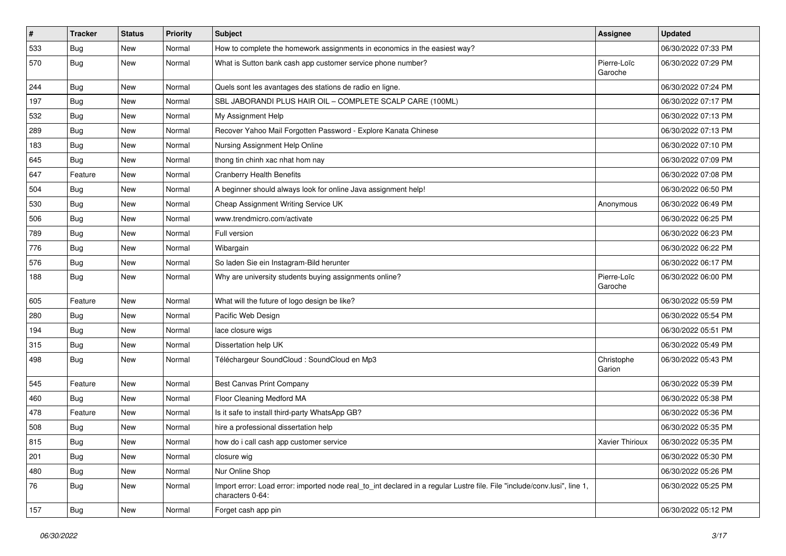| #   | <b>Tracker</b> | <b>Status</b> | Priority | <b>Subject</b>                                                                                                                               | <b>Assignee</b>        | <b>Updated</b>      |
|-----|----------------|---------------|----------|----------------------------------------------------------------------------------------------------------------------------------------------|------------------------|---------------------|
| 533 | <b>Bug</b>     | New           | Normal   | How to complete the homework assignments in economics in the easiest way?                                                                    |                        | 06/30/2022 07:33 PM |
| 570 | <b>Bug</b>     | New           | Normal   | What is Sutton bank cash app customer service phone number?                                                                                  | Pierre-Loïc<br>Garoche | 06/30/2022 07:29 PM |
| 244 | Bug            | New           | Normal   | Quels sont les avantages des stations de radio en ligne.                                                                                     |                        | 06/30/2022 07:24 PM |
| 197 | Bug            | New           | Normal   | SBL JABORANDI PLUS HAIR OIL - COMPLETE SCALP CARE (100ML)                                                                                    |                        | 06/30/2022 07:17 PM |
| 532 | <b>Bug</b>     | New           | Normal   | My Assignment Help                                                                                                                           |                        | 06/30/2022 07:13 PM |
| 289 | <b>Bug</b>     | New           | Normal   | Recover Yahoo Mail Forgotten Password - Explore Kanata Chinese                                                                               |                        | 06/30/2022 07:13 PM |
| 183 | Bug            | New           | Normal   | Nursing Assignment Help Online                                                                                                               |                        | 06/30/2022 07:10 PM |
| 645 | Bug            | New           | Normal   | thong tin chinh xac nhat hom nay                                                                                                             |                        | 06/30/2022 07:09 PM |
| 647 | Feature        | <b>New</b>    | Normal   | <b>Cranberry Health Benefits</b>                                                                                                             |                        | 06/30/2022 07:08 PM |
| 504 | Bug            | New           | Normal   | A beginner should always look for online Java assignment help!                                                                               |                        | 06/30/2022 06:50 PM |
| 530 | Bug            | New           | Normal   | Cheap Assignment Writing Service UK                                                                                                          | Anonymous              | 06/30/2022 06:49 PM |
| 506 | <b>Bug</b>     | New           | Normal   | www.trendmicro.com/activate                                                                                                                  |                        | 06/30/2022 06:25 PM |
| 789 | <b>Bug</b>     | New           | Normal   | Full version                                                                                                                                 |                        | 06/30/2022 06:23 PM |
| 776 | <b>Bug</b>     | New           | Normal   | Wibargain                                                                                                                                    |                        | 06/30/2022 06:22 PM |
| 576 | Bug            | New           | Normal   | So laden Sie ein Instagram-Bild herunter                                                                                                     |                        | 06/30/2022 06:17 PM |
| 188 | <b>Bug</b>     | New           | Normal   | Why are university students buying assignments online?                                                                                       | Pierre-Loïc<br>Garoche | 06/30/2022 06:00 PM |
| 605 | Feature        | New           | Normal   | What will the future of logo design be like?                                                                                                 |                        | 06/30/2022 05:59 PM |
| 280 | Bug            | New           | Normal   | Pacific Web Design                                                                                                                           |                        | 06/30/2022 05:54 PM |
| 194 | <b>Bug</b>     | New           | Normal   | lace closure wigs                                                                                                                            |                        | 06/30/2022 05:51 PM |
| 315 | <b>Bug</b>     | New           | Normal   | Dissertation help UK                                                                                                                         |                        | 06/30/2022 05:49 PM |
| 498 | <b>Bug</b>     | New           | Normal   | Téléchargeur SoundCloud : SoundCloud en Mp3                                                                                                  | Christophe<br>Garion   | 06/30/2022 05:43 PM |
| 545 | Feature        | New           | Normal   | Best Canvas Print Company                                                                                                                    |                        | 06/30/2022 05:39 PM |
| 460 | <b>Bug</b>     | New           | Normal   | Floor Cleaning Medford MA                                                                                                                    |                        | 06/30/2022 05:38 PM |
| 478 | Feature        | New           | Normal   | Is it safe to install third-party WhatsApp GB?                                                                                               |                        | 06/30/2022 05:36 PM |
| 508 | <b>Bug</b>     | New           | Normal   | hire a professional dissertation help                                                                                                        |                        | 06/30/2022 05:35 PM |
| 815 | Bug            | New           | Normal   | how do i call cash app customer service                                                                                                      | Xavier Thirioux        | 06/30/2022 05:35 PM |
| 201 | <b>Bug</b>     | New           | Normal   | closure wig                                                                                                                                  |                        | 06/30/2022 05:30 PM |
| 480 | <b>Bug</b>     | New           | Normal   | Nur Online Shop                                                                                                                              |                        | 06/30/2022 05:26 PM |
| 76  | <b>Bug</b>     | New           | Normal   | Import error: Load error: imported node real_to_int declared in a regular Lustre file. File "include/conv.lusi", line 1,<br>characters 0-64: |                        | 06/30/2022 05:25 PM |
| 157 | <b>Bug</b>     | New           | Normal   | Forget cash app pin                                                                                                                          |                        | 06/30/2022 05:12 PM |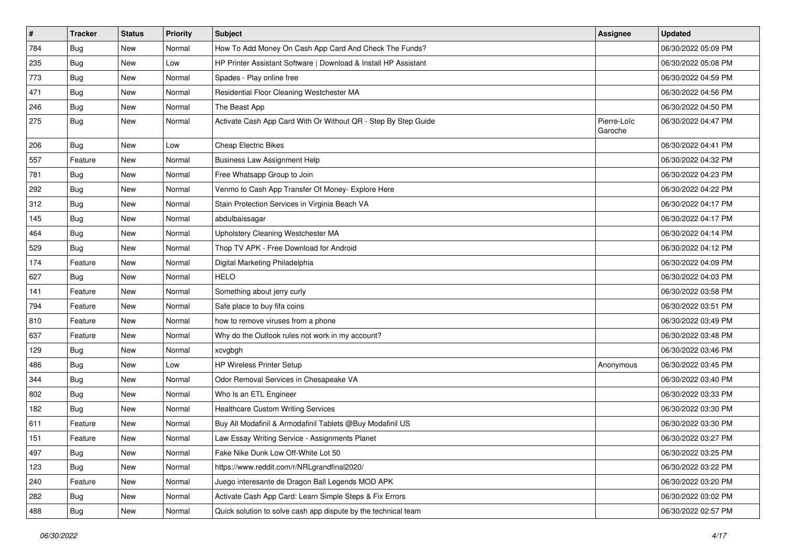| $\vert$ # | <b>Tracker</b> | <b>Status</b> | <b>Priority</b> | Subject                                                         | <b>Assignee</b>        | <b>Updated</b>      |
|-----------|----------------|---------------|-----------------|-----------------------------------------------------------------|------------------------|---------------------|
| 784       | <b>Bug</b>     | New           | Normal          | How To Add Money On Cash App Card And Check The Funds?          |                        | 06/30/2022 05:09 PM |
| 235       | Bug            | New           | Low             | HP Printer Assistant Software   Download & Install HP Assistant |                        | 06/30/2022 05:08 PM |
| 773       | Bug            | New           | Normal          | Spades - Play online free                                       |                        | 06/30/2022 04:59 PM |
| 471       | <b>Bug</b>     | New           | Normal          | Residential Floor Cleaning Westchester MA                       |                        | 06/30/2022 04:56 PM |
| 246       | Bug            | New           | Normal          | The Beast App                                                   |                        | 06/30/2022 04:50 PM |
| 275       | <b>Bug</b>     | New           | Normal          | Activate Cash App Card With Or Without QR - Step By Step Guide  | Pierre-Loïc<br>Garoche | 06/30/2022 04:47 PM |
| 206       | Bug            | New           | Low             | Cheap Electric Bikes                                            |                        | 06/30/2022 04:41 PM |
| 557       | Feature        | New           | Normal          | <b>Business Law Assignment Help</b>                             |                        | 06/30/2022 04:32 PM |
| 781       | Bug            | New           | Normal          | Free Whatsapp Group to Join                                     |                        | 06/30/2022 04:23 PM |
| 292       | Bug            | New           | Normal          | Venmo to Cash App Transfer Of Money- Explore Here               |                        | 06/30/2022 04:22 PM |
| 312       | <b>Bug</b>     | New           | Normal          | Stain Protection Services in Virginia Beach VA                  |                        | 06/30/2022 04:17 PM |
| 145       | <b>Bug</b>     | New           | Normal          | abdulbaissagar                                                  |                        | 06/30/2022 04:17 PM |
| 464       | <b>Bug</b>     | New           | Normal          | Upholstery Cleaning Westchester MA                              |                        | 06/30/2022 04:14 PM |
| 529       | <b>Bug</b>     | New           | Normal          | Thop TV APK - Free Download for Android                         |                        | 06/30/2022 04:12 PM |
| 174       | Feature        | New           | Normal          | Digital Marketing Philadelphia                                  |                        | 06/30/2022 04:09 PM |
| 627       | <b>Bug</b>     | New           | Normal          | <b>HELO</b>                                                     |                        | 06/30/2022 04:03 PM |
| 141       | Feature        | New           | Normal          | Something about jerry curly                                     |                        | 06/30/2022 03:58 PM |
| 794       | Feature        | New           | Normal          | Safe place to buy fifa coins                                    |                        | 06/30/2022 03:51 PM |
| 810       | Feature        | New           | Normal          | how to remove viruses from a phone                              |                        | 06/30/2022 03:49 PM |
| 637       | Feature        | New           | Normal          | Why do the Outlook rules not work in my account?                |                        | 06/30/2022 03:48 PM |
| 129       | <b>Bug</b>     | New           | Normal          | xcvgbgh                                                         |                        | 06/30/2022 03:46 PM |
| 486       | Bug            | New           | Low             | <b>HP Wireless Printer Setup</b>                                | Anonymous              | 06/30/2022 03:45 PM |
| 344       | <b>Bug</b>     | New           | Normal          | Odor Removal Services in Chesapeake VA                          |                        | 06/30/2022 03:40 PM |
| 802       | <b>Bug</b>     | New           | Normal          | Who Is an ETL Engineer                                          |                        | 06/30/2022 03:33 PM |
| 182       | <b>Bug</b>     | New           | Normal          | <b>Healthcare Custom Writing Services</b>                       |                        | 06/30/2022 03:30 PM |
| 611       | Feature        | New           | Normal          | Buy All Modafinil & Armodafinil Tablets @Buy Modafinil US       |                        | 06/30/2022 03:30 PM |
| 151       | Feature        | New           | Normal          | Law Essay Writing Service - Assignments Planet                  |                        | 06/30/2022 03:27 PM |
| 497       | <b>Bug</b>     | New           | Normal          | Fake Nike Dunk Low Off-White Lot 50                             |                        | 06/30/2022 03:25 PM |
| 123       | <b>Bug</b>     | New           | Normal          | https://www.reddit.com/r/NRLgrandfinal2020/                     |                        | 06/30/2022 03:22 PM |
| 240       | Feature        | New           | Normal          | Juego interesante de Dragon Ball Legends MOD APK                |                        | 06/30/2022 03:20 PM |
| 282       | Bug            | New           | Normal          | Activate Cash App Card: Learn Simple Steps & Fix Errors         |                        | 06/30/2022 03:02 PM |
| 488       | <b>Bug</b>     | New           | Normal          | Quick solution to solve cash app dispute by the technical team  |                        | 06/30/2022 02:57 PM |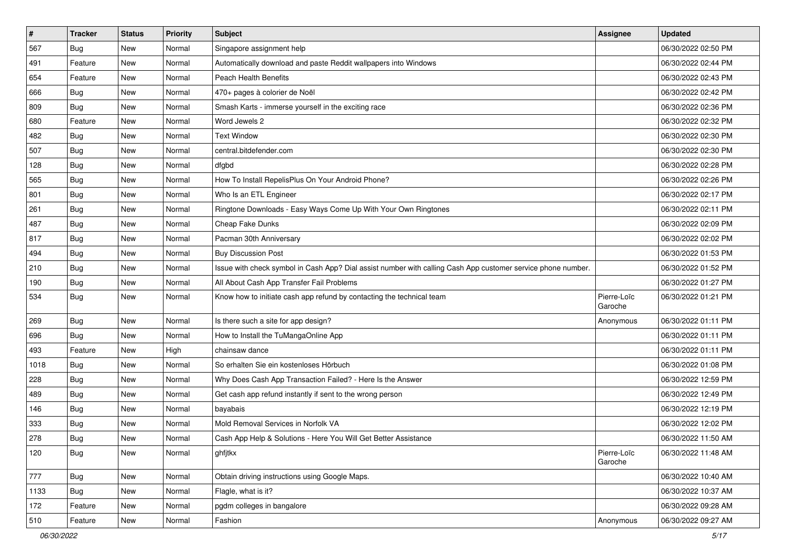| $\pmb{\#}$ | <b>Tracker</b> | <b>Status</b> | <b>Priority</b> | <b>Subject</b>                                                                                               | <b>Assignee</b>        | <b>Updated</b>      |
|------------|----------------|---------------|-----------------|--------------------------------------------------------------------------------------------------------------|------------------------|---------------------|
| 567        | <b>Bug</b>     | New           | Normal          | Singapore assignment help                                                                                    |                        | 06/30/2022 02:50 PM |
| 491        | Feature        | New           | Normal          | Automatically download and paste Reddit wallpapers into Windows                                              |                        | 06/30/2022 02:44 PM |
| 654        | Feature        | New           | Normal          | Peach Health Benefits                                                                                        |                        | 06/30/2022 02:43 PM |
| 666        | Bug            | New           | Normal          | 470+ pages à colorier de Noël                                                                                |                        | 06/30/2022 02:42 PM |
| 809        | Bug            | <b>New</b>    | Normal          | Smash Karts - immerse yourself in the exciting race                                                          |                        | 06/30/2022 02:36 PM |
| 680        | Feature        | New           | Normal          | Word Jewels 2                                                                                                |                        | 06/30/2022 02:32 PM |
| 482        | <b>Bug</b>     | New           | Normal          | <b>Text Window</b>                                                                                           |                        | 06/30/2022 02:30 PM |
| 507        | Bug            | New           | Normal          | central.bitdefender.com                                                                                      |                        | 06/30/2022 02:30 PM |
| 128        | <b>Bug</b>     | New           | Normal          | dfgbd                                                                                                        |                        | 06/30/2022 02:28 PM |
| 565        | Bug            | <b>New</b>    | Normal          | How To Install RepelisPlus On Your Android Phone?                                                            |                        | 06/30/2022 02:26 PM |
| 801        | <b>Bug</b>     | New           | Normal          | Who Is an ETL Engineer                                                                                       |                        | 06/30/2022 02:17 PM |
| 261        | <b>Bug</b>     | <b>New</b>    | Normal          | Ringtone Downloads - Easy Ways Come Up With Your Own Ringtones                                               |                        | 06/30/2022 02:11 PM |
| 487        | Bug            | <b>New</b>    | Normal          | Cheap Fake Dunks                                                                                             |                        | 06/30/2022 02:09 PM |
| 817        | Bug            | New           | Normal          | Pacman 30th Anniversary                                                                                      |                        | 06/30/2022 02:02 PM |
| 494        | <b>Bug</b>     | <b>New</b>    | Normal          | <b>Buy Discussion Post</b>                                                                                   |                        | 06/30/2022 01:53 PM |
| 210        | <b>Bug</b>     | New           | Normal          | Issue with check symbol in Cash App? Dial assist number with calling Cash App customer service phone number. |                        | 06/30/2022 01:52 PM |
| 190        | <b>Bug</b>     | New           | Normal          | All About Cash App Transfer Fail Problems                                                                    |                        | 06/30/2022 01:27 PM |
| 534        | <b>Bug</b>     | New           | Normal          | Know how to initiate cash app refund by contacting the technical team                                        | Pierre-Loïc<br>Garoche | 06/30/2022 01:21 PM |
| 269        | Bug            | <b>New</b>    | Normal          | Is there such a site for app design?                                                                         | Anonymous              | 06/30/2022 01:11 PM |
| 696        | Bug            | <b>New</b>    | Normal          | How to Install the TuMangaOnline App                                                                         |                        | 06/30/2022 01:11 PM |
| 493        | Feature        | New           | High            | chainsaw dance                                                                                               |                        | 06/30/2022 01:11 PM |
| 1018       | Bug            | <b>New</b>    | Normal          | So erhalten Sie ein kostenloses Hörbuch                                                                      |                        | 06/30/2022 01:08 PM |
| 228        | <b>Bug</b>     | New           | Normal          | Why Does Cash App Transaction Failed? - Here Is the Answer                                                   |                        | 06/30/2022 12:59 PM |
| 489        | <b>Bug</b>     | New           | Normal          | Get cash app refund instantly if sent to the wrong person                                                    |                        | 06/30/2022 12:49 PM |
| 146        | Bug            | <b>New</b>    | Normal          | bayabais                                                                                                     |                        | 06/30/2022 12:19 PM |
| 333        | <b>Bug</b>     | New           | Normal          | Mold Removal Services in Norfolk VA                                                                          |                        | 06/30/2022 12:02 PM |
| 278        | <b>Bug</b>     | <b>New</b>    | Normal          | Cash App Help & Solutions - Here You Will Get Better Assistance                                              |                        | 06/30/2022 11:50 AM |
| 120        | <b>Bug</b>     | New           | Normal          | ghfjtkx                                                                                                      | Pierre-Loïc<br>Garoche | 06/30/2022 11:48 AM |
| 777        | <b>Bug</b>     | New           | Normal          | Obtain driving instructions using Google Maps.                                                               |                        | 06/30/2022 10:40 AM |
| 1133       | Bug            | New           | Normal          | Flagle, what is it?                                                                                          |                        | 06/30/2022 10:37 AM |
| 172        | Feature        | New           | Normal          | pgdm colleges in bangalore                                                                                   |                        | 06/30/2022 09:28 AM |
| 510        | Feature        | New           | Normal          | Fashion                                                                                                      | Anonymous              | 06/30/2022 09:27 AM |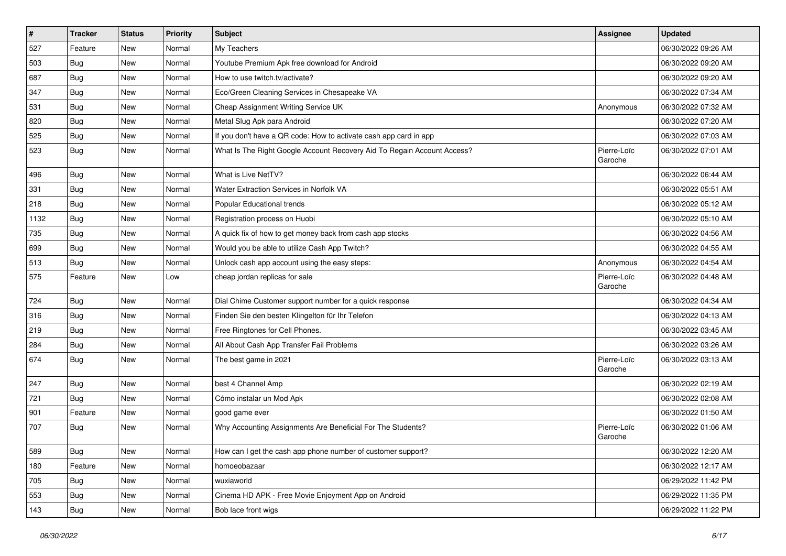| $\pmb{\#}$ | <b>Tracker</b> | <b>Status</b> | Priority | <b>Subject</b>                                                          | <b>Assignee</b>        | <b>Updated</b>      |
|------------|----------------|---------------|----------|-------------------------------------------------------------------------|------------------------|---------------------|
| 527        | Feature        | New           | Normal   | My Teachers                                                             |                        | 06/30/2022 09:26 AM |
| 503        | <b>Bug</b>     | New           | Normal   | Youtube Premium Apk free download for Android                           |                        | 06/30/2022 09:20 AM |
| 687        | <b>Bug</b>     | New           | Normal   | How to use twitch.tv/activate?                                          |                        | 06/30/2022 09:20 AM |
| 347        | <b>Bug</b>     | New           | Normal   | Eco/Green Cleaning Services in Chesapeake VA                            |                        | 06/30/2022 07:34 AM |
| 531        | <b>Bug</b>     | New           | Normal   | Cheap Assignment Writing Service UK                                     | Anonymous              | 06/30/2022 07:32 AM |
| 820        | Bug            | New           | Normal   | Metal Slug Apk para Android                                             |                        | 06/30/2022 07:20 AM |
| 525        | Bug            | New           | Normal   | If you don't have a QR code: How to activate cash app card in app       |                        | 06/30/2022 07:03 AM |
| 523        | Bug            | New           | Normal   | What Is The Right Google Account Recovery Aid To Regain Account Access? | Pierre-Loïc<br>Garoche | 06/30/2022 07:01 AM |
| 496        | Bug            | <b>New</b>    | Normal   | What is Live NetTV?                                                     |                        | 06/30/2022 06:44 AM |
| 331        | Bug            | New           | Normal   | Water Extraction Services in Norfolk VA                                 |                        | 06/30/2022 05:51 AM |
| 218        | Bug            | New           | Normal   | Popular Educational trends                                              |                        | 06/30/2022 05:12 AM |
| 1132       | Bug            | New           | Normal   | Registration process on Huobi                                           |                        | 06/30/2022 05:10 AM |
| 735        | <b>Bug</b>     | New           | Normal   | A quick fix of how to get money back from cash app stocks               |                        | 06/30/2022 04:56 AM |
| 699        | <b>Bug</b>     | New           | Normal   | Would you be able to utilize Cash App Twitch?                           |                        | 06/30/2022 04:55 AM |
| 513        | Bug            | New           | Normal   | Unlock cash app account using the easy steps:                           | Anonymous              | 06/30/2022 04:54 AM |
| 575        | Feature        | New           | Low      | cheap jordan replicas for sale                                          | Pierre-Loïc<br>Garoche | 06/30/2022 04:48 AM |
| 724        | Bug            | New           | Normal   | Dial Chime Customer support number for a quick response                 |                        | 06/30/2022 04:34 AM |
| 316        | Bug            | New           | Normal   | Finden Sie den besten Klingelton für Ihr Telefon                        |                        | 06/30/2022 04:13 AM |
| 219        | <b>Bug</b>     | New           | Normal   | Free Ringtones for Cell Phones.                                         |                        | 06/30/2022 03:45 AM |
| 284        | <b>Bug</b>     | New           | Normal   | All About Cash App Transfer Fail Problems                               |                        | 06/30/2022 03:26 AM |
| 674        | <b>Bug</b>     | New           | Normal   | The best game in 2021                                                   | Pierre-Loïc<br>Garoche | 06/30/2022 03:13 AM |
| 247        | <b>Bug</b>     | New           | Normal   | best 4 Channel Amp                                                      |                        | 06/30/2022 02:19 AM |
| 721        | Bug            | New           | Normal   | Cómo instalar un Mod Apk                                                |                        | 06/30/2022 02:08 AM |
| 901        | Feature        | New           | Normal   | good game ever                                                          |                        | 06/30/2022 01:50 AM |
| 707        | <b>Bug</b>     | New           | Normal   | Why Accounting Assignments Are Beneficial For The Students?             | Pierre-Loïc<br>Garoche | 06/30/2022 01:06 AM |
| 589        | <b>Bug</b>     | New           | Normal   | How can I get the cash app phone number of customer support?            |                        | 06/30/2022 12:20 AM |
| 180        | Feature        | New           | Normal   | homoeobazaar                                                            |                        | 06/30/2022 12:17 AM |
| 705        | Bug            | New           | Normal   | wuxiaworld                                                              |                        | 06/29/2022 11:42 PM |
| 553        | Bug            | New           | Normal   | Cinema HD APK - Free Movie Enjoyment App on Android                     |                        | 06/29/2022 11:35 PM |
| 143        | <b>Bug</b>     | New           | Normal   | Bob lace front wigs                                                     |                        | 06/29/2022 11:22 PM |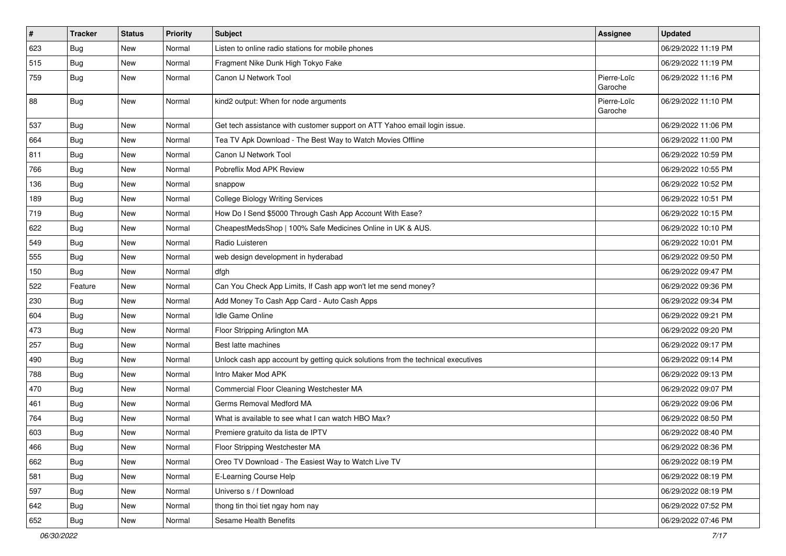| $\sharp$ | <b>Tracker</b> | <b>Status</b> | <b>Priority</b> | <b>Subject</b>                                                                   | Assignee               | <b>Updated</b>      |
|----------|----------------|---------------|-----------------|----------------------------------------------------------------------------------|------------------------|---------------------|
| 623      | <b>Bug</b>     | New           | Normal          | Listen to online radio stations for mobile phones                                |                        | 06/29/2022 11:19 PM |
| 515      | Bug            | New           | Normal          | Fragment Nike Dunk High Tokyo Fake                                               |                        | 06/29/2022 11:19 PM |
| 759      | <b>Bug</b>     | New           | Normal          | Canon IJ Network Tool                                                            | Pierre-Loïc<br>Garoche | 06/29/2022 11:16 PM |
| 88       | <b>Bug</b>     | New           | Normal          | kind2 output: When for node arguments                                            | Pierre-Loïc<br>Garoche | 06/29/2022 11:10 PM |
| 537      | <b>Bug</b>     | New           | Normal          | Get tech assistance with customer support on ATT Yahoo email login issue.        |                        | 06/29/2022 11:06 PM |
| 664      | <b>Bug</b>     | New           | Normal          | Tea TV Apk Download - The Best Way to Watch Movies Offline                       |                        | 06/29/2022 11:00 PM |
| 811      | <b>Bug</b>     | New           | Normal          | Canon IJ Network Tool                                                            |                        | 06/29/2022 10:59 PM |
| 766      | Bug            | New           | Normal          | Pobreflix Mod APK Review                                                         |                        | 06/29/2022 10:55 PM |
| 136      | <b>Bug</b>     | New           | Normal          | snappow                                                                          |                        | 06/29/2022 10:52 PM |
| 189      | Bug            | New           | Normal          | <b>College Biology Writing Services</b>                                          |                        | 06/29/2022 10:51 PM |
| 719      | Bug            | New           | Normal          | How Do I Send \$5000 Through Cash App Account With Ease?                         |                        | 06/29/2022 10:15 PM |
| 622      | <b>Bug</b>     | New           | Normal          | CheapestMedsShop   100% Safe Medicines Online in UK & AUS.                       |                        | 06/29/2022 10:10 PM |
| 549      | <b>Bug</b>     | <b>New</b>    | Normal          | Radio Luisteren                                                                  |                        | 06/29/2022 10:01 PM |
| 555      | Bug            | New           | Normal          | web design development in hyderabad                                              |                        | 06/29/2022 09:50 PM |
| 150      | <b>Bug</b>     | New           | Normal          | dfgh                                                                             |                        | 06/29/2022 09:47 PM |
| 522      | Feature        | New           | Normal          | Can You Check App Limits, If Cash app won't let me send money?                   |                        | 06/29/2022 09:36 PM |
| 230      | Bug            | New           | Normal          | Add Money To Cash App Card - Auto Cash Apps                                      |                        | 06/29/2022 09:34 PM |
| 604      | Bug            | New           | Normal          | Idle Game Online                                                                 |                        | 06/29/2022 09:21 PM |
| 473      | <b>Bug</b>     | New           | Normal          | Floor Stripping Arlington MA                                                     |                        | 06/29/2022 09:20 PM |
| 257      | <b>Bug</b>     | New           | Normal          | Best latte machines                                                              |                        | 06/29/2022 09:17 PM |
| 490      | Bug            | New           | Normal          | Unlock cash app account by getting quick solutions from the technical executives |                        | 06/29/2022 09:14 PM |
| 788      | <b>Bug</b>     | New           | Normal          | Intro Maker Mod APK                                                              |                        | 06/29/2022 09:13 PM |
| 470      | Bug            | New           | Normal          | Commercial Floor Cleaning Westchester MA                                         |                        | 06/29/2022 09:07 PM |
| 461      | <b>Bug</b>     | New           | Normal          | Germs Removal Medford MA                                                         |                        | 06/29/2022 09:06 PM |
| 764      | <b>Bug</b>     | New           | Normal          | What is available to see what I can watch HBO Max?                               |                        | 06/29/2022 08:50 PM |
| 603      | <b>Bug</b>     | New           | Normal          | Premiere gratuito da lista de IPTV                                               |                        | 06/29/2022 08:40 PM |
| 466      | <b>Bug</b>     | New           | Normal          | Floor Stripping Westchester MA                                                   |                        | 06/29/2022 08:36 PM |
| 662      | Bug            | New           | Normal          | Oreo TV Download - The Easiest Way to Watch Live TV                              |                        | 06/29/2022 08:19 PM |
| 581      | Bug            | New           | Normal          | E-Learning Course Help                                                           |                        | 06/29/2022 08:19 PM |
| 597      | <b>Bug</b>     | New           | Normal          | Universo s / f Download                                                          |                        | 06/29/2022 08:19 PM |
| 642      | <b>Bug</b>     | New           | Normal          | thong tin thoi tiet ngay hom nay                                                 |                        | 06/29/2022 07:52 PM |
| 652      | <b>Bug</b>     | New           | Normal          | Sesame Health Benefits                                                           |                        | 06/29/2022 07:46 PM |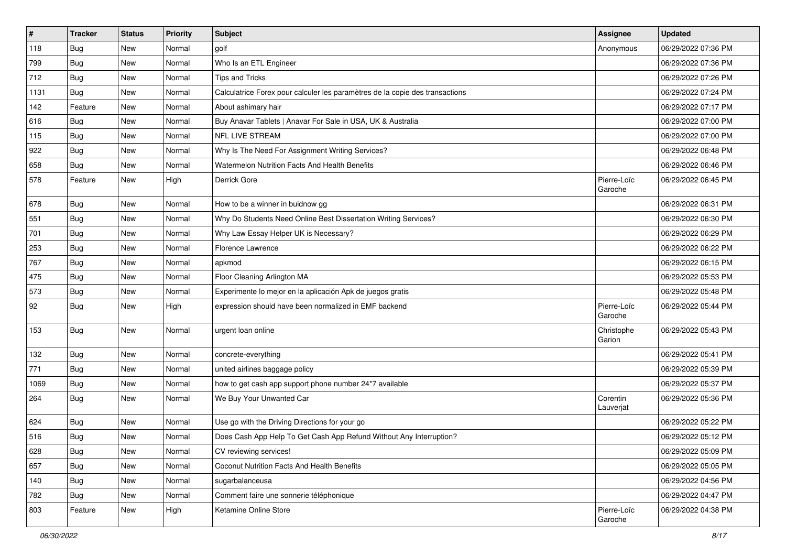| $\vert$ # | <b>Tracker</b> | <b>Status</b> | <b>Priority</b> | <b>Subject</b>                                                               | <b>Assignee</b>        | <b>Updated</b>      |
|-----------|----------------|---------------|-----------------|------------------------------------------------------------------------------|------------------------|---------------------|
| 118       | <b>Bug</b>     | New           | Normal          | golf                                                                         | Anonymous              | 06/29/2022 07:36 PM |
| 799       | Bug            | New           | Normal          | Who Is an ETL Engineer                                                       |                        | 06/29/2022 07:36 PM |
| 712       | Bug            | New           | Normal          | <b>Tips and Tricks</b>                                                       |                        | 06/29/2022 07:26 PM |
| 1131      | <b>Bug</b>     | New           | Normal          | Calculatrice Forex pour calculer les paramètres de la copie des transactions |                        | 06/29/2022 07:24 PM |
| 142       | Feature        | New           | Normal          | About ashimary hair                                                          |                        | 06/29/2022 07:17 PM |
| 616       | <b>Bug</b>     | New           | Normal          | Buy Anavar Tablets   Anavar For Sale in USA, UK & Australia                  |                        | 06/29/2022 07:00 PM |
| 115       | <b>Bug</b>     | New           | Normal          | NFL LIVE STREAM                                                              |                        | 06/29/2022 07:00 PM |
| 922       | Bug            | New           | Normal          | Why Is The Need For Assignment Writing Services?                             |                        | 06/29/2022 06:48 PM |
| 658       | Bug            | New           | Normal          | Watermelon Nutrition Facts And Health Benefits                               |                        | 06/29/2022 06:46 PM |
| 578       | Feature        | New           | High            | Derrick Gore                                                                 | Pierre-Loïc<br>Garoche | 06/29/2022 06:45 PM |
| 678       | Bug            | New           | Normal          | How to be a winner in buidnow gg                                             |                        | 06/29/2022 06:31 PM |
| 551       | <b>Bug</b>     | New           | Normal          | Why Do Students Need Online Best Dissertation Writing Services?              |                        | 06/29/2022 06:30 PM |
| 701       | <b>Bug</b>     | New           | Normal          | Why Law Essay Helper UK is Necessary?                                        |                        | 06/29/2022 06:29 PM |
| 253       | Bug            | New           | Normal          | Florence Lawrence                                                            |                        | 06/29/2022 06:22 PM |
| 767       | Bug            | New           | Normal          | apkmod                                                                       |                        | 06/29/2022 06:15 PM |
| 475       | <b>Bug</b>     | New           | Normal          | Floor Cleaning Arlington MA                                                  |                        | 06/29/2022 05:53 PM |
| 573       | <b>Bug</b>     | New           | Normal          | Experimente lo mejor en la aplicación Apk de juegos gratis                   |                        | 06/29/2022 05:48 PM |
| 92        | Bug            | New           | High            | expression should have been normalized in EMF backend                        | Pierre-Loïc<br>Garoche | 06/29/2022 05:44 PM |
| 153       | Bug            | New           | Normal          | urgent loan online                                                           | Christophe<br>Garion   | 06/29/2022 05:43 PM |
| 132       | Bug            | New           | Normal          | concrete-everything                                                          |                        | 06/29/2022 05:41 PM |
| 771       | Bug            | New           | Normal          | united airlines baggage policy                                               |                        | 06/29/2022 05:39 PM |
| 1069      | Bug            | New           | Normal          | how to get cash app support phone number 24*7 available                      |                        | 06/29/2022 05:37 PM |
| 264       | Bug            | New           | Normal          | We Buy Your Unwanted Car                                                     | Corentin<br>Lauverjat  | 06/29/2022 05:36 PM |
| 624       | <b>Bug</b>     | New           | Normal          | Use go with the Driving Directions for your go                               |                        | 06/29/2022 05:22 PM |
| 516       | Bug            | New           | Normal          | Does Cash App Help To Get Cash App Refund Without Any Interruption?          |                        | 06/29/2022 05:12 PM |
| 628       | <b>Bug</b>     | New           | Normal          | CV reviewing services!                                                       |                        | 06/29/2022 05:09 PM |
| 657       | <b>Bug</b>     | New           | Normal          | Coconut Nutrition Facts And Health Benefits                                  |                        | 06/29/2022 05:05 PM |
| 140       | <b>Bug</b>     | New           | Normal          | sugarbalanceusa                                                              |                        | 06/29/2022 04:56 PM |
| 782       | <b>Bug</b>     | New           | Normal          | Comment faire une sonnerie téléphonique                                      |                        | 06/29/2022 04:47 PM |
| 803       | Feature        | New           | High            | Ketamine Online Store                                                        | Pierre-Loïc<br>Garoche | 06/29/2022 04:38 PM |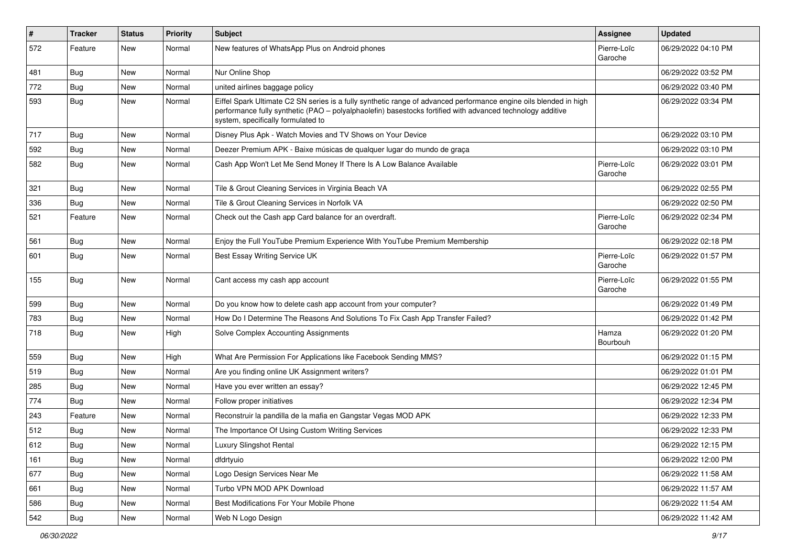| $\sharp$ | <b>Tracker</b> | <b>Status</b> | <b>Priority</b> | <b>Subject</b>                                                                                                                                                                                                                                                        | Assignee               | <b>Updated</b>      |
|----------|----------------|---------------|-----------------|-----------------------------------------------------------------------------------------------------------------------------------------------------------------------------------------------------------------------------------------------------------------------|------------------------|---------------------|
| 572      | Feature        | New           | Normal          | New features of WhatsApp Plus on Android phones                                                                                                                                                                                                                       | Pierre-Loïc<br>Garoche | 06/29/2022 04:10 PM |
| 481      | <b>Bug</b>     | New           | Normal          | Nur Online Shop                                                                                                                                                                                                                                                       |                        | 06/29/2022 03:52 PM |
| 772      | Bug            | New           | Normal          | united airlines baggage policy                                                                                                                                                                                                                                        |                        | 06/29/2022 03:40 PM |
| 593      | <b>Bug</b>     | New           | Normal          | Eiffel Spark Ultimate C2 SN series is a fully synthetic range of advanced performance engine oils blended in high<br>performance fully synthetic (PAO - polyalphaolefin) basestocks fortified with advanced technology additive<br>system, specifically formulated to |                        | 06/29/2022 03:34 PM |
| 717      | Bug            | New           | Normal          | Disney Plus Apk - Watch Movies and TV Shows on Your Device                                                                                                                                                                                                            |                        | 06/29/2022 03:10 PM |
| 592      | Bug            | New           | Normal          | Deezer Premium APK - Baixe músicas de qualquer lugar do mundo de graça                                                                                                                                                                                                |                        | 06/29/2022 03:10 PM |
| 582      | <b>Bug</b>     | New           | Normal          | Cash App Won't Let Me Send Money If There Is A Low Balance Available                                                                                                                                                                                                  | Pierre-Loïc<br>Garoche | 06/29/2022 03:01 PM |
| 321      | <b>Bug</b>     | New           | Normal          | Tile & Grout Cleaning Services in Virginia Beach VA                                                                                                                                                                                                                   |                        | 06/29/2022 02:55 PM |
| 336      | <b>Bug</b>     | New           | Normal          | Tile & Grout Cleaning Services in Norfolk VA                                                                                                                                                                                                                          |                        | 06/29/2022 02:50 PM |
| 521      | Feature        | New           | Normal          | Check out the Cash app Card balance for an overdraft.                                                                                                                                                                                                                 | Pierre-Loïc<br>Garoche | 06/29/2022 02:34 PM |
| 561      | Bug            | New           | Normal          | Enjoy the Full YouTube Premium Experience With YouTube Premium Membership                                                                                                                                                                                             |                        | 06/29/2022 02:18 PM |
| 601      | <b>Bug</b>     | New           | Normal          | Best Essay Writing Service UK                                                                                                                                                                                                                                         | Pierre-Loïc<br>Garoche | 06/29/2022 01:57 PM |
| 155      | Bug            | New           | Normal          | Cant access my cash app account                                                                                                                                                                                                                                       | Pierre-Loïc<br>Garoche | 06/29/2022 01:55 PM |
| 599      | Bug            | New           | Normal          | Do you know how to delete cash app account from your computer?                                                                                                                                                                                                        |                        | 06/29/2022 01:49 PM |
| 783      | <b>Bug</b>     | <b>New</b>    | Normal          | How Do I Determine The Reasons And Solutions To Fix Cash App Transfer Failed?                                                                                                                                                                                         |                        | 06/29/2022 01:42 PM |
| 718      | Bug            | New           | High            | Solve Complex Accounting Assignments                                                                                                                                                                                                                                  | Hamza<br>Bourbouh      | 06/29/2022 01:20 PM |
| 559      | Bug            | New           | High            | What Are Permission For Applications like Facebook Sending MMS?                                                                                                                                                                                                       |                        | 06/29/2022 01:15 PM |
| 519      | <b>Bug</b>     | <b>New</b>    | Normal          | Are you finding online UK Assignment writers?                                                                                                                                                                                                                         |                        | 06/29/2022 01:01 PM |
| 285      | <b>Bug</b>     | New           | Normal          | Have you ever written an essay?                                                                                                                                                                                                                                       |                        | 06/29/2022 12:45 PM |
| 774      | Bug            | New           | Normal          | Follow proper initiatives                                                                                                                                                                                                                                             |                        | 06/29/2022 12:34 PM |
| 243      | Feature        | New           | Normal          | Reconstruir la pandilla de la mafia en Gangstar Vegas MOD APK                                                                                                                                                                                                         |                        | 06/29/2022 12:33 PM |
| 512      | <b>Bug</b>     | New           | Normal          | The Importance Of Using Custom Writing Services                                                                                                                                                                                                                       |                        | 06/29/2022 12:33 PM |
| 612      | <b>Bug</b>     | New           | Normal          | <b>Luxury Slingshot Rental</b>                                                                                                                                                                                                                                        |                        | 06/29/2022 12:15 PM |
| 161      | Bug            | New           | Normal          | dfdrtyuio                                                                                                                                                                                                                                                             |                        | 06/29/2022 12:00 PM |
| 677      | <b>Bug</b>     | New           | Normal          | Logo Design Services Near Me                                                                                                                                                                                                                                          |                        | 06/29/2022 11:58 AM |
| 661      | <b>Bug</b>     | New           | Normal          | Turbo VPN MOD APK Download                                                                                                                                                                                                                                            |                        | 06/29/2022 11:57 AM |
| 586      | <b>Bug</b>     | New           | Normal          | Best Modifications For Your Mobile Phone                                                                                                                                                                                                                              |                        | 06/29/2022 11:54 AM |
| 542      | <b>Bug</b>     | New           | Normal          | Web N Logo Design                                                                                                                                                                                                                                                     |                        | 06/29/2022 11:42 AM |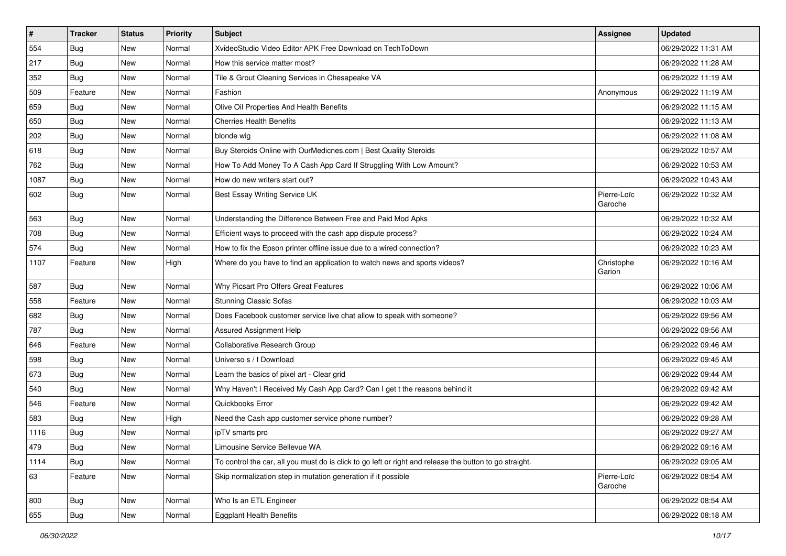| $\vert$ # | <b>Tracker</b>   | <b>Status</b> | <b>Priority</b> | <b>Subject</b>                                                                                          | <b>Assignee</b>        | <b>Updated</b>      |
|-----------|------------------|---------------|-----------------|---------------------------------------------------------------------------------------------------------|------------------------|---------------------|
| 554       | <b>Bug</b>       | New           | Normal          | XvideoStudio Video Editor APK Free Download on TechToDown                                               |                        | 06/29/2022 11:31 AM |
| 217       | Bug              | New           | Normal          | How this service matter most?                                                                           |                        | 06/29/2022 11:28 AM |
| 352       | Bug              | New           | Normal          | Tile & Grout Cleaning Services in Chesapeake VA                                                         |                        | 06/29/2022 11:19 AM |
| 509       | Feature          | New           | Normal          | Fashion                                                                                                 | Anonymous              | 06/29/2022 11:19 AM |
| 659       | Bug              | New           | Normal          | Olive Oil Properties And Health Benefits                                                                |                        | 06/29/2022 11:15 AM |
| 650       | <b>Bug</b>       | New           | Normal          | <b>Cherries Health Benefits</b>                                                                         |                        | 06/29/2022 11:13 AM |
| 202       | <b>Bug</b>       | New           | Normal          | blonde wig                                                                                              |                        | 06/29/2022 11:08 AM |
| 618       | Bug              | New           | Normal          | Buy Steroids Online with OurMedicnes.com   Best Quality Steroids                                        |                        | 06/29/2022 10:57 AM |
| 762       | <b>Bug</b>       | New           | Normal          | How To Add Money To A Cash App Card If Struggling With Low Amount?                                      |                        | 06/29/2022 10:53 AM |
| 1087      | <b>Bug</b>       | New           | Normal          | How do new writers start out?                                                                           |                        | 06/29/2022 10:43 AM |
| 602       | Bug              | New           | Normal          | Best Essay Writing Service UK                                                                           | Pierre-Loïc<br>Garoche | 06/29/2022 10:32 AM |
| 563       | Bug              | New           | Normal          | Understanding the Difference Between Free and Paid Mod Apks                                             |                        | 06/29/2022 10:32 AM |
| 708       | <b>Bug</b>       | New           | Normal          | Efficient ways to proceed with the cash app dispute process?                                            |                        | 06/29/2022 10:24 AM |
| 574       | <b>Bug</b>       | New           | Normal          | How to fix the Epson printer offline issue due to a wired connection?                                   |                        | 06/29/2022 10:23 AM |
| 1107      | Feature          | New           | High            | Where do you have to find an application to watch news and sports videos?                               | Christophe<br>Garion   | 06/29/2022 10:16 AM |
| 587       | Bug              | New           | Normal          | Why Picsart Pro Offers Great Features                                                                   |                        | 06/29/2022 10:06 AM |
| 558       | Feature          | New           | Normal          | <b>Stunning Classic Sofas</b>                                                                           |                        | 06/29/2022 10:03 AM |
| 682       | <b>Bug</b>       | New           | Normal          | Does Facebook customer service live chat allow to speak with someone?                                   |                        | 06/29/2022 09:56 AM |
| 787       | Bug              | New           | Normal          | Assured Assignment Help                                                                                 |                        | 06/29/2022 09:56 AM |
| 646       | Feature          | New           | Normal          | Collaborative Research Group                                                                            |                        | 06/29/2022 09:46 AM |
| 598       | <b>Bug</b>       | New           | Normal          | Universo s / f Download                                                                                 |                        | 06/29/2022 09:45 AM |
| 673       | <b>Bug</b>       | New           | Normal          | Learn the basics of pixel art - Clear grid                                                              |                        | 06/29/2022 09:44 AM |
| 540       | <b>Bug</b>       | New           | Normal          | Why Haven't I Received My Cash App Card? Can I get t the reasons behind it                              |                        | 06/29/2022 09:42 AM |
| 546       | Feature          | New           | Normal          | Quickbooks Error                                                                                        |                        | 06/29/2022 09:42 AM |
| 583       | <b>Bug</b>       | New           | High            | Need the Cash app customer service phone number?                                                        |                        | 06/29/2022 09:28 AM |
| 1116      | <b>Bug</b>       | New           | Normal          | ipTV smarts pro                                                                                         |                        | 06/29/2022 09:27 AM |
| 479       | Bug              | New           | Normal          | Limousine Service Bellevue WA                                                                           |                        | 06/29/2022 09:16 AM |
| 1114      | <b>Bug</b>       | New           | Normal          | To control the car, all you must do is click to go left or right and release the button to go straight. |                        | 06/29/2022 09:05 AM |
| 63        | Feature          | New           | Normal          | Skip normalization step in mutation generation if it possible                                           | Pierre-Loïc<br>Garoche | 06/29/2022 08:54 AM |
| 800       | Bug              | New           | Normal          | Who Is an ETL Engineer                                                                                  |                        | 06/29/2022 08:54 AM |
| 655       | <sub>i</sub> Bug | New           | Normal          | <b>Eggplant Health Benefits</b>                                                                         |                        | 06/29/2022 08:18 AM |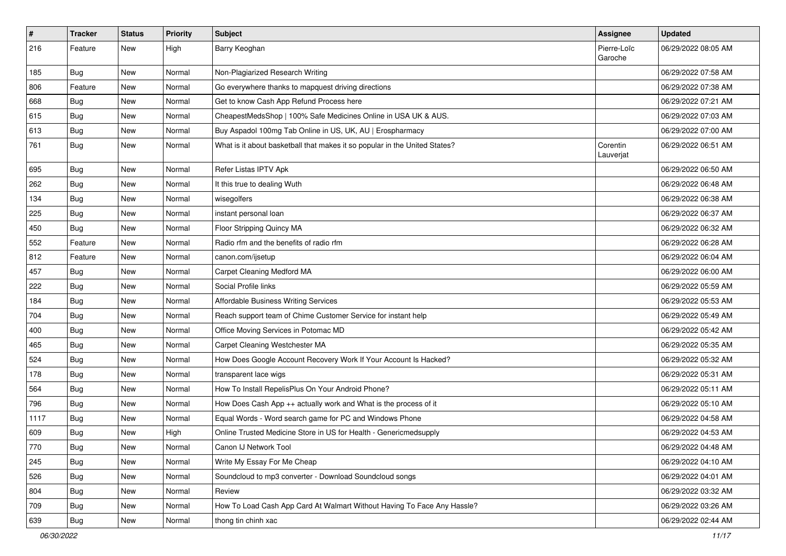| $\sharp$ | <b>Tracker</b> | <b>Status</b> | <b>Priority</b> | Subject                                                                    | <b>Assignee</b>        | <b>Updated</b>      |
|----------|----------------|---------------|-----------------|----------------------------------------------------------------------------|------------------------|---------------------|
| 216      | Feature        | New           | High            | Barry Keoghan                                                              | Pierre-Loïc<br>Garoche | 06/29/2022 08:05 AM |
| 185      | <b>Bug</b>     | New           | Normal          | Non-Plagiarized Research Writing                                           |                        | 06/29/2022 07:58 AM |
| 806      | Feature        | New           | Normal          | Go everywhere thanks to mapquest driving directions                        |                        | 06/29/2022 07:38 AM |
| 668      | Bug            | New           | Normal          | Get to know Cash App Refund Process here                                   |                        | 06/29/2022 07:21 AM |
| 615      | <b>Bug</b>     | New           | Normal          | CheapestMedsShop   100% Safe Medicines Online in USA UK & AUS.             |                        | 06/29/2022 07:03 AM |
| 613      | <b>Bug</b>     | New           | Normal          | Buy Aspadol 100mg Tab Online in US, UK, AU   Erospharmacy                  |                        | 06/29/2022 07:00 AM |
| 761      | <b>Bug</b>     | New           | Normal          | What is it about basketball that makes it so popular in the United States? | Corentin<br>Lauverjat  | 06/29/2022 06:51 AM |
| 695      | Bug            | New           | Normal          | Refer Listas IPTV Apk                                                      |                        | 06/29/2022 06:50 AM |
| 262      | <b>Bug</b>     | New           | Normal          | It this true to dealing Wuth                                               |                        | 06/29/2022 06:48 AM |
| 134      | <b>Bug</b>     | New           | Normal          | wisegolfers                                                                |                        | 06/29/2022 06:38 AM |
| 225      | Bug            | <b>New</b>    | Normal          | instant personal loan                                                      |                        | 06/29/2022 06:37 AM |
| 450      | <b>Bug</b>     | New           | Normal          | Floor Stripping Quincy MA                                                  |                        | 06/29/2022 06:32 AM |
| 552      | Feature        | New           | Normal          | Radio rfm and the benefits of radio rfm                                    |                        | 06/29/2022 06:28 AM |
| 812      | Feature        | New           | Normal          | canon.com/ijsetup                                                          |                        | 06/29/2022 06:04 AM |
| 457      | <b>Bug</b>     | New           | Normal          | Carpet Cleaning Medford MA                                                 |                        | 06/29/2022 06:00 AM |
| 222      | Bug            | New           | Normal          | Social Profile links                                                       |                        | 06/29/2022 05:59 AM |
| 184      | <b>Bug</b>     | New           | Normal          | Affordable Business Writing Services                                       |                        | 06/29/2022 05:53 AM |
| 704      | <b>Bug</b>     | New           | Normal          | Reach support team of Chime Customer Service for instant help              |                        | 06/29/2022 05:49 AM |
| 400      | <b>Bug</b>     | <b>New</b>    | Normal          | Office Moving Services in Potomac MD                                       |                        | 06/29/2022 05:42 AM |
| 465      | <b>Bug</b>     | New           | Normal          | Carpet Cleaning Westchester MA                                             |                        | 06/29/2022 05:35 AM |
| 524      | Bug            | New           | Normal          | How Does Google Account Recovery Work If Your Account Is Hacked?           |                        | 06/29/2022 05:32 AM |
| 178      | <b>Bug</b>     | New           | Normal          | transparent lace wigs                                                      |                        | 06/29/2022 05:31 AM |
| 564      | <b>Bug</b>     | New           | Normal          | How To Install RepelisPlus On Your Android Phone?                          |                        | 06/29/2022 05:11 AM |
| 796      | Bug            | New           | Normal          | How Does Cash App ++ actually work and What is the process of it           |                        | 06/29/2022 05:10 AM |
| 1117     | <b>Bug</b>     | New           | Normal          | Equal Words - Word search game for PC and Windows Phone                    |                        | 06/29/2022 04:58 AM |
| 609      | <b>Bug</b>     | <b>New</b>    | High            | Online Trusted Medicine Store in US for Health - Genericmedsupply          |                        | 06/29/2022 04:53 AM |
| 770      | Bug            | New           | Normal          | Canon IJ Network Tool                                                      |                        | 06/29/2022 04:48 AM |
| 245      | <b>Bug</b>     | New           | Normal          | Write My Essay For Me Cheap                                                |                        | 06/29/2022 04:10 AM |
| 526      | Bug            | New           | Normal          | Soundcloud to mp3 converter - Download Soundcloud songs                    |                        | 06/29/2022 04:01 AM |
| 804      | <b>Bug</b>     | New           | Normal          | Review                                                                     |                        | 06/29/2022 03:32 AM |
| 709      | <b>Bug</b>     | New           | Normal          | How To Load Cash App Card At Walmart Without Having To Face Any Hassle?    |                        | 06/29/2022 03:26 AM |
| 639      | <b>Bug</b>     | New           | Normal          | thong tin chinh xac                                                        |                        | 06/29/2022 02:44 AM |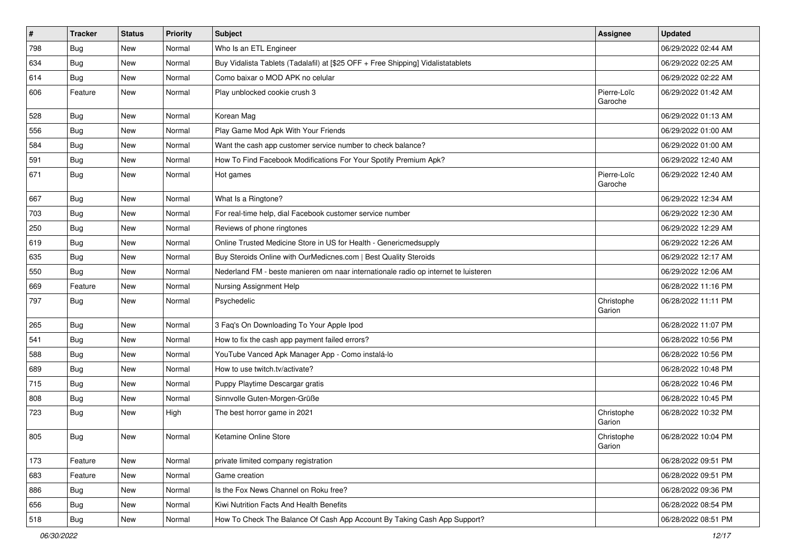| #   | <b>Tracker</b> | <b>Status</b> | Priority | <b>Subject</b>                                                                      | <b>Assignee</b>        | <b>Updated</b>      |
|-----|----------------|---------------|----------|-------------------------------------------------------------------------------------|------------------------|---------------------|
| 798 | <b>Bug</b>     | New           | Normal   | Who Is an ETL Engineer                                                              |                        | 06/29/2022 02:44 AM |
| 634 | Bug            | New           | Normal   | Buy Vidalista Tablets (Tadalafil) at [\$25 OFF + Free Shipping] Vidalistatablets    |                        | 06/29/2022 02:25 AM |
| 614 | Bug            | New           | Normal   | Como baixar o MOD APK no celular                                                    |                        | 06/29/2022 02:22 AM |
| 606 | Feature        | New           | Normal   | Play unblocked cookie crush 3                                                       | Pierre-Loïc<br>Garoche | 06/29/2022 01:42 AM |
| 528 | Bug            | New           | Normal   | Korean Mag                                                                          |                        | 06/29/2022 01:13 AM |
| 556 | <b>Bug</b>     | New           | Normal   | Play Game Mod Apk With Your Friends                                                 |                        | 06/29/2022 01:00 AM |
| 584 | Bug            | New           | Normal   | Want the cash app customer service number to check balance?                         |                        | 06/29/2022 01:00 AM |
| 591 | Bug            | New           | Normal   | How To Find Facebook Modifications For Your Spotify Premium Apk?                    |                        | 06/29/2022 12:40 AM |
| 671 | <b>Bug</b>     | New           | Normal   | Hot games                                                                           | Pierre-Loïc<br>Garoche | 06/29/2022 12:40 AM |
| 667 | Bug            | New           | Normal   | What Is a Ringtone?                                                                 |                        | 06/29/2022 12:34 AM |
| 703 | Bug            | New           | Normal   | For real-time help, dial Facebook customer service number                           |                        | 06/29/2022 12:30 AM |
| 250 | Bug            | New           | Normal   | Reviews of phone ringtones                                                          |                        | 06/29/2022 12:29 AM |
| 619 | Bug            | New           | Normal   | Online Trusted Medicine Store in US for Health - Genericmedsupply                   |                        | 06/29/2022 12:26 AM |
| 635 | Bug            | New           | Normal   | Buy Steroids Online with OurMedicnes.com   Best Quality Steroids                    |                        | 06/29/2022 12:17 AM |
| 550 | <b>Bug</b>     | New           | Normal   | Nederland FM - beste manieren om naar internationale radio op internet te luisteren |                        | 06/29/2022 12:06 AM |
| 669 | Feature        | <b>New</b>    | Normal   | Nursing Assignment Help                                                             |                        | 06/28/2022 11:16 PM |
| 797 | Bug            | New           | Normal   | Psychedelic                                                                         | Christophe<br>Garion   | 06/28/2022 11:11 PM |
| 265 | Bug            | New           | Normal   | 3 Faq's On Downloading To Your Apple Ipod                                           |                        | 06/28/2022 11:07 PM |
| 541 | Bug            | New           | Normal   | How to fix the cash app payment failed errors?                                      |                        | 06/28/2022 10:56 PM |
| 588 | <b>Bug</b>     | New           | Normal   | YouTube Vanced Apk Manager App - Como instalá-lo                                    |                        | 06/28/2022 10:56 PM |
| 689 | Bug            | New           | Normal   | How to use twitch.tv/activate?                                                      |                        | 06/28/2022 10:48 PM |
| 715 | Bug            | New           | Normal   | Puppy Playtime Descargar gratis                                                     |                        | 06/28/2022 10:46 PM |
| 808 | Bug            | New           | Normal   | Sinnvolle Guten-Morgen-Grüße                                                        |                        | 06/28/2022 10:45 PM |
| 723 | <b>Bug</b>     | New           | High     | The best horror game in 2021                                                        | Christophe<br>Garion   | 06/28/2022 10:32 PM |
| 805 | Bug            | New           | Normal   | Ketamine Online Store                                                               | Christophe<br>Garion   | 06/28/2022 10:04 PM |
| 173 | Feature        | New           | Normal   | private limited company registration                                                |                        | 06/28/2022 09:51 PM |
| 683 | Feature        | New           | Normal   | Game creation                                                                       |                        | 06/28/2022 09:51 PM |
| 886 | Bug            | New           | Normal   | Is the Fox News Channel on Roku free?                                               |                        | 06/28/2022 09:36 PM |
| 656 | <b>Bug</b>     | New           | Normal   | Kiwi Nutrition Facts And Health Benefits                                            |                        | 06/28/2022 08:54 PM |
| 518 | <b>Bug</b>     | New           | Normal   | How To Check The Balance Of Cash App Account By Taking Cash App Support?            |                        | 06/28/2022 08:51 PM |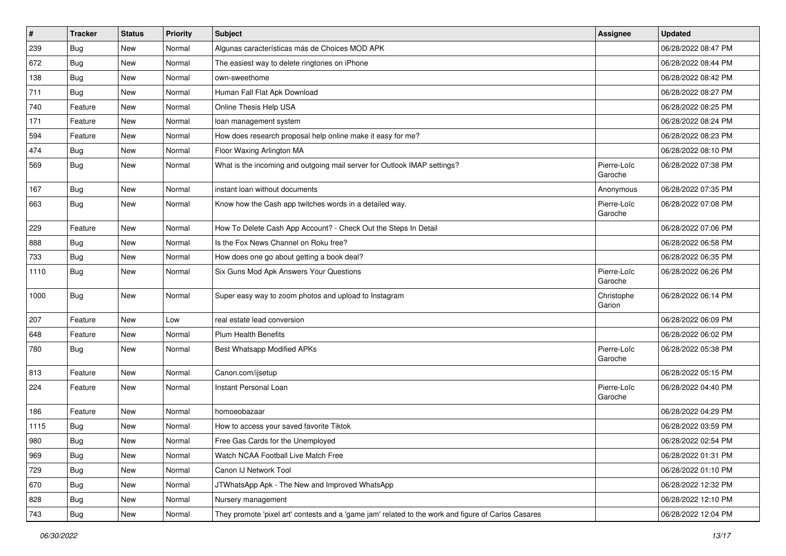| $\vert$ # | <b>Tracker</b> | <b>Status</b> | <b>Priority</b> | <b>Subject</b>                                                                                      | <b>Assignee</b>        | <b>Updated</b>      |
|-----------|----------------|---------------|-----------------|-----------------------------------------------------------------------------------------------------|------------------------|---------------------|
| 239       | <b>Bug</b>     | New           | Normal          | Algunas características más de Choices MOD APK                                                      |                        | 06/28/2022 08:47 PM |
| 672       | Bug            | New           | Normal          | The easiest way to delete ringtones on iPhone                                                       |                        | 06/28/2022 08:44 PM |
| 138       | Bug            | New           | Normal          | own-sweethome                                                                                       |                        | 06/28/2022 08:42 PM |
| 711       | <b>Bug</b>     | New           | Normal          | Human Fall Flat Apk Download                                                                        |                        | 06/28/2022 08:27 PM |
| 740       | Feature        | New           | Normal          | Online Thesis Help USA                                                                              |                        | 06/28/2022 08:25 PM |
| 171       | Feature        | New           | Normal          | loan management system                                                                              |                        | 06/28/2022 08:24 PM |
| 594       | Feature        | New           | Normal          | How does research proposal help online make it easy for me?                                         |                        | 06/28/2022 08:23 PM |
| 474       | Bug            | New           | Normal          | Floor Waxing Arlington MA                                                                           |                        | 06/28/2022 08:10 PM |
| 569       | <b>Bug</b>     | New           | Normal          | What is the incoming and outgoing mail server for Outlook IMAP settings?                            | Pierre-Loïc<br>Garoche | 06/28/2022 07:38 PM |
| 167       | Bug            | New           | Normal          | instant loan without documents                                                                      | Anonymous              | 06/28/2022 07:35 PM |
| 663       | <b>Bug</b>     | New           | Normal          | Know how the Cash app twitches words in a detailed way.                                             | Pierre-Loïc<br>Garoche | 06/28/2022 07:08 PM |
| 229       | Feature        | New           | Normal          | How To Delete Cash App Account? - Check Out the Steps In Detail                                     |                        | 06/28/2022 07:06 PM |
| 888       | Bug            | New           | Normal          | Is the Fox News Channel on Roku free?                                                               |                        | 06/28/2022 06:58 PM |
| 733       | Bug            | New           | Normal          | How does one go about getting a book deal?                                                          |                        | 06/28/2022 06:35 PM |
| 1110      | Bug            | New           | Normal          | Six Guns Mod Apk Answers Your Questions                                                             | Pierre-Loïc<br>Garoche | 06/28/2022 06:26 PM |
| 1000      | Bug            | New           | Normal          | Super easy way to zoom photos and upload to Instagram                                               | Christophe<br>Garion   | 06/28/2022 06:14 PM |
| 207       | Feature        | New           | Low             | real estate lead conversion                                                                         |                        | 06/28/2022 06:09 PM |
| 648       | Feature        | New           | Normal          | <b>Plum Health Benefits</b>                                                                         |                        | 06/28/2022 06:02 PM |
| 780       | Bug            | New           | Normal          | Best Whatsapp Modified APKs                                                                         | Pierre-Loïc<br>Garoche | 06/28/2022 05:38 PM |
| 813       | Feature        | New           | Normal          | Canon.com/ijsetup                                                                                   |                        | 06/28/2022 05:15 PM |
| 224       | Feature        | New           | Normal          | Instant Personal Loan                                                                               | Pierre-Loïc<br>Garoche | 06/28/2022 04:40 PM |
| 186       | Feature        | New           | Normal          | homoeobazaar                                                                                        |                        | 06/28/2022 04:29 PM |
| 1115      | <b>Bug</b>     | New           | Normal          | How to access your saved favorite Tiktok                                                            |                        | 06/28/2022 03:59 PM |
| 980       | Bug            | New           | Normal          | Free Gas Cards for the Unemployed                                                                   |                        | 06/28/2022 02:54 PM |
| 969       | <b>Bug</b>     | New           | Normal          | Watch NCAA Football Live Match Free                                                                 |                        | 06/28/2022 01:31 PM |
| 729       | <b>Bug</b>     | New           | Normal          | Canon IJ Network Tool                                                                               |                        | 06/28/2022 01:10 PM |
| 670       | <b>Bug</b>     | New           | Normal          | JTWhatsApp Apk - The New and Improved WhatsApp                                                      |                        | 06/28/2022 12:32 PM |
| 828       | <b>Bug</b>     | New           | Normal          | Nursery management                                                                                  |                        | 06/28/2022 12:10 PM |
| 743       | <b>Bug</b>     | New           | Normal          | They promote 'pixel art' contests and a 'game jam' related to the work and figure of Carlos Casares |                        | 06/28/2022 12:04 PM |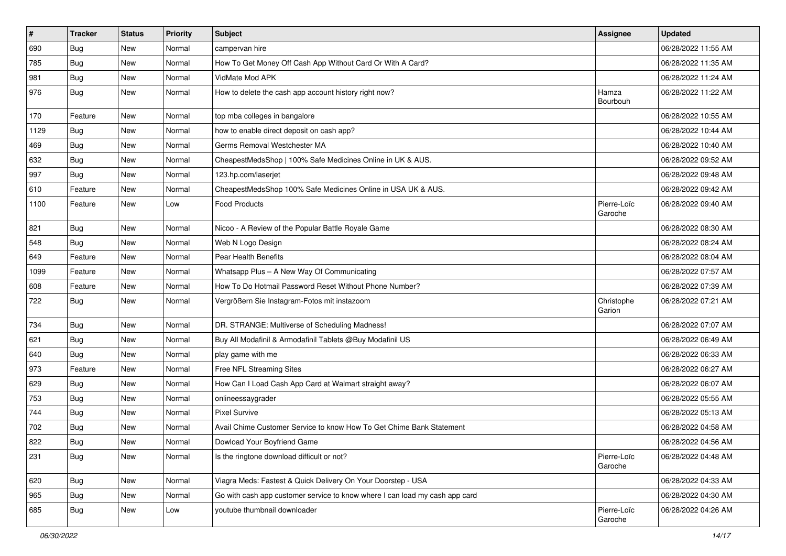| #    | <b>Tracker</b> | <b>Status</b> | <b>Priority</b> | <b>Subject</b>                                                              | <b>Assignee</b>        | <b>Updated</b>      |
|------|----------------|---------------|-----------------|-----------------------------------------------------------------------------|------------------------|---------------------|
| 690  | <b>Bug</b>     | New           | Normal          | campervan hire                                                              |                        | 06/28/2022 11:55 AM |
| 785  | Bug            | <b>New</b>    | Normal          | How To Get Money Off Cash App Without Card Or With A Card?                  |                        | 06/28/2022 11:35 AM |
| 981  | <b>Bug</b>     | New           | Normal          | VidMate Mod APK                                                             |                        | 06/28/2022 11:24 AM |
| 976  | <b>Bug</b>     | New           | Normal          | How to delete the cash app account history right now?                       | Hamza<br>Bourbouh      | 06/28/2022 11:22 AM |
| 170  | Feature        | New           | Normal          | top mba colleges in bangalore                                               |                        | 06/28/2022 10:55 AM |
| 1129 | Bug            | New           | Normal          | how to enable direct deposit on cash app?                                   |                        | 06/28/2022 10:44 AM |
| 469  | Bug            | New           | Normal          | Germs Removal Westchester MA                                                |                        | 06/28/2022 10:40 AM |
| 632  | <b>Bug</b>     | New           | Normal          | CheapestMedsShop   100% Safe Medicines Online in UK & AUS.                  |                        | 06/28/2022 09:52 AM |
| 997  | <b>Bug</b>     | New           | Normal          | 123.hp.com/laserjet                                                         |                        | 06/28/2022 09:48 AM |
| 610  | Feature        | New           | Normal          | CheapestMedsShop 100% Safe Medicines Online in USA UK & AUS.                |                        | 06/28/2022 09:42 AM |
| 1100 | Feature        | New           | Low             | <b>Food Products</b>                                                        | Pierre-Loïc<br>Garoche | 06/28/2022 09:40 AM |
| 821  | <b>Bug</b>     | New           | Normal          | Nicoo - A Review of the Popular Battle Royale Game                          |                        | 06/28/2022 08:30 AM |
| 548  | <b>Bug</b>     | New           | Normal          | Web N Logo Design                                                           |                        | 06/28/2022 08:24 AM |
| 649  | Feature        | New           | Normal          | <b>Pear Health Benefits</b>                                                 |                        | 06/28/2022 08:04 AM |
| 1099 | Feature        | New           | Normal          | Whatsapp Plus - A New Way Of Communicating                                  |                        | 06/28/2022 07:57 AM |
| 608  | Feature        | New           | Normal          | How To Do Hotmail Password Reset Without Phone Number?                      |                        | 06/28/2022 07:39 AM |
| 722  | <b>Bug</b>     | New           | Normal          | Vergrößern Sie Instagram-Fotos mit instazoom                                | Christophe<br>Garion   | 06/28/2022 07:21 AM |
| 734  | Bug            | New           | Normal          | DR. STRANGE: Multiverse of Scheduling Madness!                              |                        | 06/28/2022 07:07 AM |
| 621  | <b>Bug</b>     | New           | Normal          | Buy All Modafinil & Armodafinil Tablets @Buy Modafinil US                   |                        | 06/28/2022 06:49 AM |
| 640  | <b>Bug</b>     | New           | Normal          | play game with me                                                           |                        | 06/28/2022 06:33 AM |
| 973  | Feature        | New           | Normal          | Free NFL Streaming Sites                                                    |                        | 06/28/2022 06:27 AM |
| 629  | <b>Bug</b>     | New           | Normal          | How Can I Load Cash App Card at Walmart straight away?                      |                        | 06/28/2022 06:07 AM |
| 753  | Bug            | New           | Normal          | onlineessaygrader                                                           |                        | 06/28/2022 05:55 AM |
| 744  | Bug            | New           | Normal          | <b>Pixel Survive</b>                                                        |                        | 06/28/2022 05:13 AM |
| 702  | <b>Bug</b>     | New           | Normal          | Avail Chime Customer Service to know How To Get Chime Bank Statement        |                        | 06/28/2022 04:58 AM |
| 822  | Bug            | New           | Normal          | Dowload Your Boyfriend Game                                                 |                        | 06/28/2022 04:56 AM |
| 231  | <b>Bug</b>     | New           | Normal          | Is the ringtone download difficult or not?                                  | Pierre-Loïc<br>Garoche | 06/28/2022 04:48 AM |
| 620  | Bug            | New           | Normal          | Viagra Meds: Fastest & Quick Delivery On Your Doorstep - USA                |                        | 06/28/2022 04:33 AM |
| 965  | Bug            | New           | Normal          | Go with cash app customer service to know where I can load my cash app card |                        | 06/28/2022 04:30 AM |
| 685  | <b>Bug</b>     | New           | Low             | youtube thumbnail downloader                                                | Pierre-Loïc<br>Garoche | 06/28/2022 04:26 AM |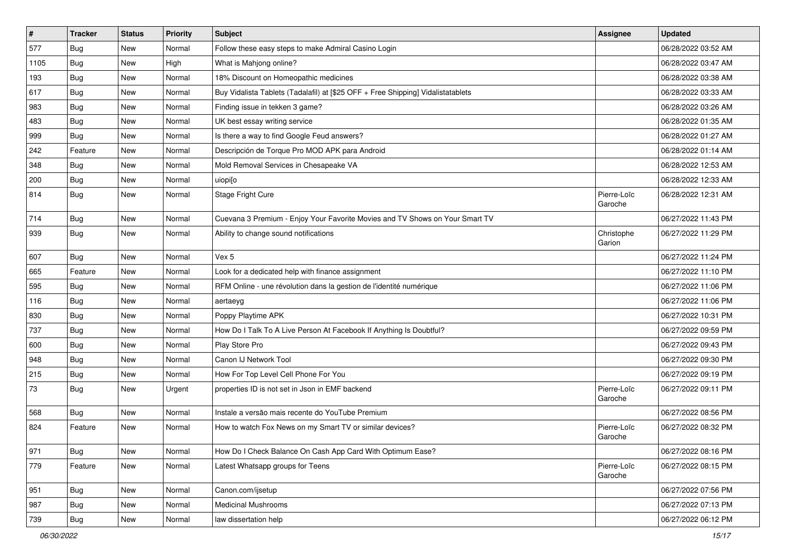| $\vert$ # | <b>Tracker</b> | <b>Status</b> | Priority | <b>Subject</b>                                                                   | <b>Assignee</b>        | <b>Updated</b>      |
|-----------|----------------|---------------|----------|----------------------------------------------------------------------------------|------------------------|---------------------|
| 577       | <b>Bug</b>     | New           | Normal   | Follow these easy steps to make Admiral Casino Login                             |                        | 06/28/2022 03:52 AM |
| 1105      | <b>Bug</b>     | New           | High     | What is Mahjong online?                                                          |                        | 06/28/2022 03:47 AM |
| 193       | Bug            | New           | Normal   | 18% Discount on Homeopathic medicines                                            |                        | 06/28/2022 03:38 AM |
| 617       | <b>Bug</b>     | New           | Normal   | Buy Vidalista Tablets (Tadalafil) at [\$25 OFF + Free Shipping] Vidalistatablets |                        | 06/28/2022 03:33 AM |
| 983       | Bug            | New           | Normal   | Finding issue in tekken 3 game?                                                  |                        | 06/28/2022 03:26 AM |
| 483       | <b>Bug</b>     | New           | Normal   | UK best essay writing service                                                    |                        | 06/28/2022 01:35 AM |
| 999       | <b>Bug</b>     | New           | Normal   | Is there a way to find Google Feud answers?                                      |                        | 06/28/2022 01:27 AM |
| 242       | Feature        | New           | Normal   | Descripción de Torque Pro MOD APK para Android                                   |                        | 06/28/2022 01:14 AM |
| 348       | Bug            | New           | Normal   | Mold Removal Services in Chesapeake VA                                           |                        | 06/28/2022 12:53 AM |
| 200       | Bug            | New           | Normal   | uiopi[o                                                                          |                        | 06/28/2022 12:33 AM |
| 814       | Bug            | New           | Normal   | Stage Fright Cure                                                                | Pierre-Loïc<br>Garoche | 06/28/2022 12:31 AM |
| 714       | Bug            | New           | Normal   | Cuevana 3 Premium - Enjoy Your Favorite Movies and TV Shows on Your Smart TV     |                        | 06/27/2022 11:43 PM |
| 939       | Bug            | New           | Normal   | Ability to change sound notifications                                            | Christophe<br>Garion   | 06/27/2022 11:29 PM |
| 607       | Bug            | New           | Normal   | Vex 5                                                                            |                        | 06/27/2022 11:24 PM |
| 665       | Feature        | New           | Normal   | Look for a dedicated help with finance assignment                                |                        | 06/27/2022 11:10 PM |
| 595       | Bug            | New           | Normal   | RFM Online - une révolution dans la gestion de l'identité numérique              |                        | 06/27/2022 11:06 PM |
| 116       | <b>Bug</b>     | New           | Normal   | aertaeyg                                                                         |                        | 06/27/2022 11:06 PM |
| 830       | <b>Bug</b>     | New           | Normal   | Poppy Playtime APK                                                               |                        | 06/27/2022 10:31 PM |
| 737       | Bug            | New           | Normal   | How Do I Talk To A Live Person At Facebook If Anything Is Doubtful?              |                        | 06/27/2022 09:59 PM |
| 600       | Bug            | New           | Normal   | Play Store Pro                                                                   |                        | 06/27/2022 09:43 PM |
| 948       | Bug            | New           | Normal   | Canon IJ Network Tool                                                            |                        | 06/27/2022 09:30 PM |
| 215       | Bug            | New           | Normal   | How For Top Level Cell Phone For You                                             |                        | 06/27/2022 09:19 PM |
| 73        | <b>Bug</b>     | New           | Urgent   | properties ID is not set in Json in EMF backend                                  | Pierre-Loïc<br>Garoche | 06/27/2022 09:11 PM |
| 568       | Bug            | New           | Normal   | Instale a versão mais recente do YouTube Premium                                 |                        | 06/27/2022 08:56 PM |
| 824       | Feature        | New           | Normal   | How to watch Fox News on my Smart TV or similar devices?                         | Pierre-Loïc<br>Garoche | 06/27/2022 08:32 PM |
| 971       | <b>Bug</b>     | New           | Normal   | How Do I Check Balance On Cash App Card With Optimum Ease?                       |                        | 06/27/2022 08:16 PM |
| 779       | Feature        | New           | Normal   | Latest Whatsapp groups for Teens                                                 | Pierre-Loïc<br>Garoche | 06/27/2022 08:15 PM |
| 951       | <b>Bug</b>     | New           | Normal   | Canon.com/ijsetup                                                                |                        | 06/27/2022 07:56 PM |
| 987       | <b>Bug</b>     | New           | Normal   | <b>Medicinal Mushrooms</b>                                                       |                        | 06/27/2022 07:13 PM |
| 739       | <b>Bug</b>     | New           | Normal   | law dissertation help                                                            |                        | 06/27/2022 06:12 PM |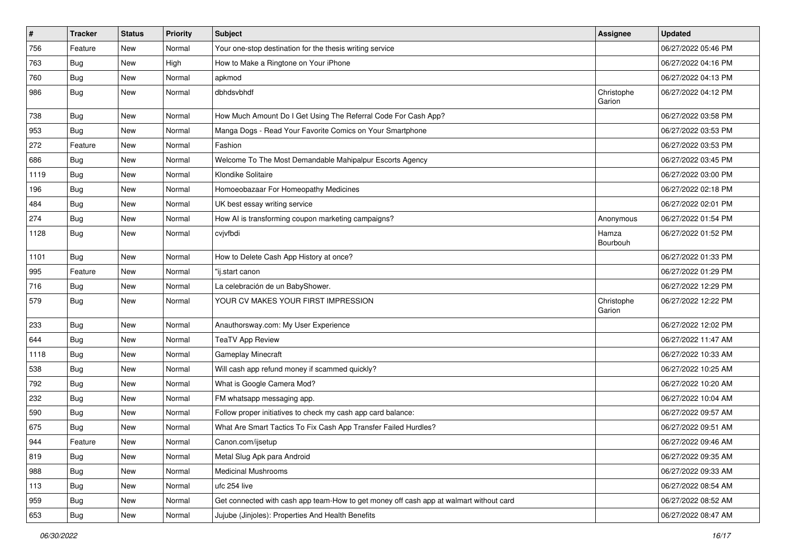| $\pmb{\#}$ | <b>Tracker</b> | <b>Status</b> | Priority | <b>Subject</b>                                                                         | <b>Assignee</b>      | <b>Updated</b>      |
|------------|----------------|---------------|----------|----------------------------------------------------------------------------------------|----------------------|---------------------|
| 756        | Feature        | New           | Normal   | Your one-stop destination for the thesis writing service                               |                      | 06/27/2022 05:46 PM |
| 763        | Bug            | New           | High     | How to Make a Ringtone on Your iPhone                                                  |                      | 06/27/2022 04:16 PM |
| 760        | <b>Bug</b>     | New           | Normal   | apkmod                                                                                 |                      | 06/27/2022 04:13 PM |
| 986        | <b>Bug</b>     | New           | Normal   | dbhdsvbhdf                                                                             | Christophe<br>Garion | 06/27/2022 04:12 PM |
| 738        | Bug            | New           | Normal   | How Much Amount Do I Get Using The Referral Code For Cash App?                         |                      | 06/27/2022 03:58 PM |
| 953        | <b>Bug</b>     | New           | Normal   | Manga Dogs - Read Your Favorite Comics on Your Smartphone                              |                      | 06/27/2022 03:53 PM |
| 272        | Feature        | New           | Normal   | Fashion                                                                                |                      | 06/27/2022 03:53 PM |
| 686        | <b>Bug</b>     | New           | Normal   | Welcome To The Most Demandable Mahipalpur Escorts Agency                               |                      | 06/27/2022 03:45 PM |
| 1119       | Bug            | New           | Normal   | Klondike Solitaire                                                                     |                      | 06/27/2022 03:00 PM |
| 196        | Bug            | New           | Normal   | Homoeobazaar For Homeopathy Medicines                                                  |                      | 06/27/2022 02:18 PM |
| 484        | Bug            | New           | Normal   | UK best essay writing service                                                          |                      | 06/27/2022 02:01 PM |
| 274        | Bug            | New           | Normal   | How AI is transforming coupon marketing campaigns?                                     | Anonymous            | 06/27/2022 01:54 PM |
| 1128       | <b>Bug</b>     | New           | Normal   | cvjvfbdi                                                                               | Hamza<br>Bourbouh    | 06/27/2022 01:52 PM |
| 1101       | Bug            | New           | Normal   | How to Delete Cash App History at once?                                                |                      | 06/27/2022 01:33 PM |
| 995        | Feature        | New           | Normal   | "ij.start canon                                                                        |                      | 06/27/2022 01:29 PM |
| 716        | <b>Bug</b>     | New           | Normal   | La celebración de un BabyShower.                                                       |                      | 06/27/2022 12:29 PM |
| 579        | <b>Bug</b>     | New           | Normal   | YOUR CV MAKES YOUR FIRST IMPRESSION                                                    | Christophe<br>Garion | 06/27/2022 12:22 PM |
| 233        | <b>Bug</b>     | New           | Normal   | Anauthorsway.com: My User Experience                                                   |                      | 06/27/2022 12:02 PM |
| 644        | <b>Bug</b>     | New           | Normal   | <b>TeaTV App Review</b>                                                                |                      | 06/27/2022 11:47 AM |
| 1118       | Bug            | New           | Normal   | <b>Gameplay Minecraft</b>                                                              |                      | 06/27/2022 10:33 AM |
| 538        | <b>Bug</b>     | New           | Normal   | Will cash app refund money if scammed quickly?                                         |                      | 06/27/2022 10:25 AM |
| 792        | <b>Bug</b>     | New           | Normal   | What is Google Camera Mod?                                                             |                      | 06/27/2022 10:20 AM |
| 232        | <b>Bug</b>     | New           | Normal   | FM whatsapp messaging app.                                                             |                      | 06/27/2022 10:04 AM |
| 590        | Bug            | New           | Normal   | Follow proper initiatives to check my cash app card balance:                           |                      | 06/27/2022 09:57 AM |
| 675        | <b>Bug</b>     | New           | Normal   | What Are Smart Tactics To Fix Cash App Transfer Failed Hurdles?                        |                      | 06/27/2022 09:51 AM |
| 944        | Feature        | New           | Normal   | Canon.com/ijsetup                                                                      |                      | 06/27/2022 09:46 AM |
| 819        | <b>Bug</b>     | New           | Normal   | Metal Slug Apk para Android                                                            |                      | 06/27/2022 09:35 AM |
| 988        | <b>Bug</b>     | New           | Normal   | <b>Medicinal Mushrooms</b>                                                             |                      | 06/27/2022 09:33 AM |
| 113        | <b>Bug</b>     | New           | Normal   | ufc 254 live                                                                           |                      | 06/27/2022 08:54 AM |
| 959        | <b>Bug</b>     | New           | Normal   | Get connected with cash app team-How to get money off cash app at walmart without card |                      | 06/27/2022 08:52 AM |
| 653        | Bug            | New           | Normal   | Jujube (Jinjoles): Properties And Health Benefits                                      |                      | 06/27/2022 08:47 AM |